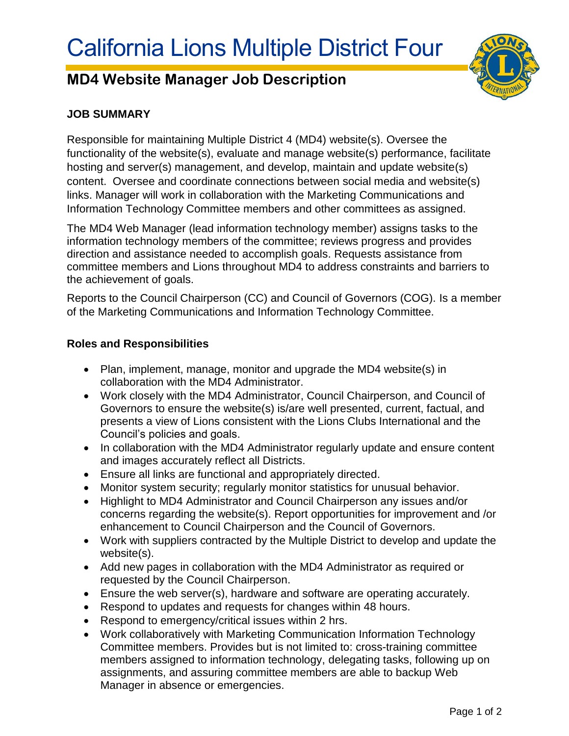# **MD4 Website Manager Job Description**



## **JOB SUMMARY**

Responsible for maintaining Multiple District 4 (MD4) website(s). Oversee the functionality of the website(s), evaluate and manage website(s) performance, facilitate hosting and server(s) management, and develop, maintain and update website(s) content. Oversee and coordinate connections between social media and website(s) links. Manager will work in collaboration with the Marketing Communications and Information Technology Committee members and other committees as assigned.

The MD4 Web Manager (lead information technology member) assigns tasks to the information technology members of the committee; reviews progress and provides direction and assistance needed to accomplish goals. Requests assistance from committee members and Lions throughout MD4 to address constraints and barriers to the achievement of goals.

Reports to the Council Chairperson (CC) and Council of Governors (COG). Is a member of the Marketing Communications and Information Technology Committee.

#### **Roles and Responsibilities**

- Plan, implement, manage, monitor and upgrade the MD4 website(s) in collaboration with the MD4 Administrator.
- Work closely with the MD4 Administrator, Council Chairperson, and Council of Governors to ensure the website(s) is/are well presented, current, factual, and presents a view of Lions consistent with the Lions Clubs International and the Council's policies and goals.
- In collaboration with the MD4 Administrator regularly update and ensure content and images accurately reflect all Districts.
- Ensure all links are functional and appropriately directed.
- Monitor system security; regularly monitor statistics for unusual behavior.
- Highlight to MD4 Administrator and Council Chairperson any issues and/or concerns regarding the website(s). Report opportunities for improvement and /or enhancement to Council Chairperson and the Council of Governors.
- Work with suppliers contracted by the Multiple District to develop and update the website(s).
- Add new pages in collaboration with the MD4 Administrator as required or requested by the Council Chairperson.
- Ensure the web server(s), hardware and software are operating accurately.
- Respond to updates and requests for changes within 48 hours.
- Respond to emergency/critical issues within 2 hrs.
- Work collaboratively with Marketing Communication Information Technology Committee members. Provides but is not limited to: cross-training committee members assigned to information technology, delegating tasks, following up on assignments, and assuring committee members are able to backup Web Manager in absence or emergencies.